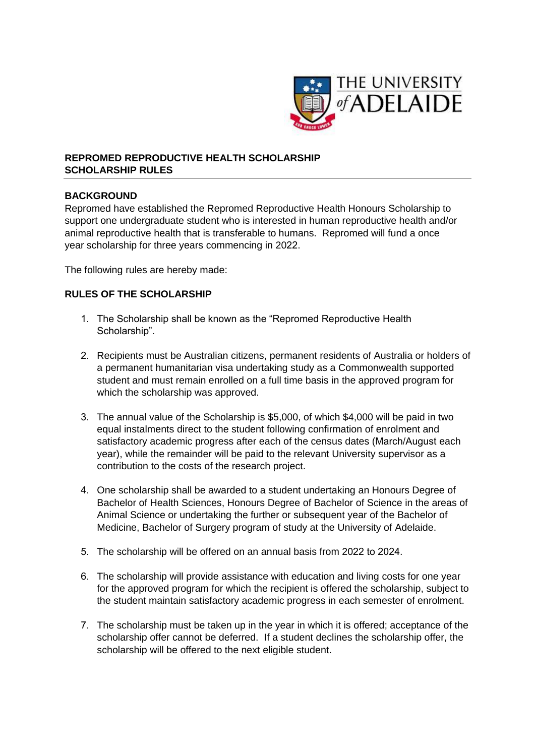

## **REPROMED REPRODUCTIVE HEALTH SCHOLARSHIP SCHOLARSHIP RULES**

## **BACKGROUND**

Repromed have established the Repromed Reproductive Health Honours Scholarship to support one undergraduate student who is interested in human reproductive health and/or animal reproductive health that is transferable to humans. Repromed will fund a once year scholarship for three years commencing in 2022.

The following rules are hereby made:

## **RULES OF THE SCHOLARSHIP**

- 1. The Scholarship shall be known as the "Repromed Reproductive Health Scholarship".
- 2. Recipients must be Australian citizens, permanent residents of Australia or holders of a permanent humanitarian visa undertaking study as a Commonwealth supported student and must remain enrolled on a full time basis in the approved program for which the scholarship was approved.
- 3. The annual value of the Scholarship is \$5,000, of which \$4,000 will be paid in two equal instalments direct to the student following confirmation of enrolment and satisfactory academic progress after each of the census dates (March/August each year), while the remainder will be paid to the relevant University supervisor as a contribution to the costs of the research project.
- 4. One scholarship shall be awarded to a student undertaking an Honours Degree of Bachelor of Health Sciences, Honours Degree of Bachelor of Science in the areas of Animal Science or undertaking the further or subsequent year of the Bachelor of Medicine, Bachelor of Surgery program of study at the University of Adelaide.
- 5. The scholarship will be offered on an annual basis from 2022 to 2024.
- 6. The scholarship will provide assistance with education and living costs for one year for the approved program for which the recipient is offered the scholarship, subject to the student maintain satisfactory academic progress in each semester of enrolment.
- 7. The scholarship must be taken up in the year in which it is offered; acceptance of the scholarship offer cannot be deferred. If a student declines the scholarship offer, the scholarship will be offered to the next eligible student.